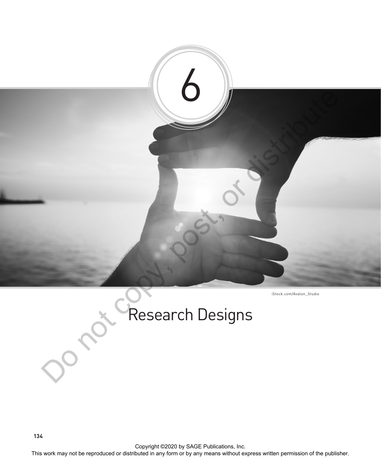

Research Designs

Copyright ©2020 by SAGE Publications, Inc.<br>This work may not be reproduced or distributed in any form or by any means without express written permission of the publisher.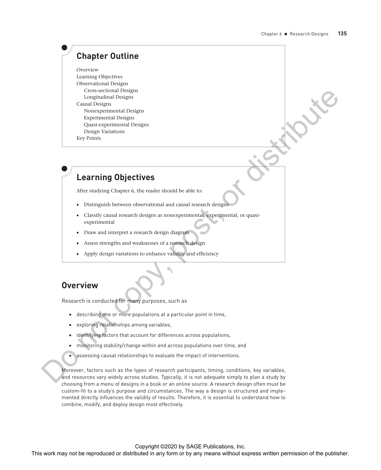# **Chapter Outline**

Overview Learning Objectives Observational Designs Cross-sectional Designs Longitudinal Designs Causal Designs Nonexperimental Designs Experimental Designs Quasi-experimental Designs Design Variations Key Points

# **Learning Objectives**

After studying Chapter 6, the reader should be able to:

- Distinguish between observational and causal research designs
- Classify causal research designs as nonexperimental, experimental, or quasiexperimental
- Draw and interpret a research design diagram
- Assess strengths and weaknesses of a research design
- Apply design variations to enhance validity and efficiency

# **Overview**

Research is conducted for many purposes, such as

- describing one or more populations at a particular point in time,
- exploring relationships among variables,
- identifying factors that account for differences across populations,
- monitoring stability/change within and across populations over time, and
- assessing causal relationships to evaluate the impact of interventions.

Moreover, factors such as the types of research participants, timing, conditions, key variables, and resources vary widely across studies. Typically, it is not adequate simply to plan a study by choosing from a menu of designs in a book or an online source. A research design often must be custom-fit to a study's purpose and circumstances. The way a design is structured and implemented directly influences the validity of results. Therefore, it is essential to understand how to combine, modify, and deploy design most effectively. This work may not be reproduced or distributed in any form or by any means without express with a publisher or distributed in any form or by any means without express with the publisher or distributed in any means were co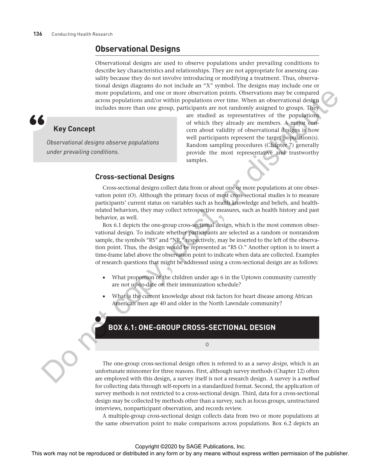# **Observational Designs**

Observational designs are used to observe populations under prevailing conditions to describe key characteristics and relationships. They are not appropriate for assessing causality because they do not involve introducing or modifying a treatment. Thus, observational design diagrams do not include an "X" symbol. The designs may include one or more populations, and one or more observation points. Observations may be compared across populations and/or within populations over time. When an observational design includes more than one group, participants are not randomly assigned to groups. They

# **Key Concept**

*Observational designs observe populations under prevailing conditions.*

are studied as representatives of the populations of which they already are members. A major concern about validity of observational designs is how well participants represent the target population(s). Random sampling procedures (Chapter 7) generally provide the most representative and trustworthy samples.

# **Cross-sectional Designs**

Cross-sectional designs collect data from or about one or more populations at one observation point (O). Although the primary focus of most cross-sectional studies is to measure participants' current status on variables such as health knowledge and beliefs, and healthrelated behaviors, they may collect retrospective measures, such as health history and past behavior, as well.

Box 6.1 depicts the one-group cross-sectional design, which is the most common observational design. To indicate whether participants are selected as a random or nonrandom sample, the symbols "RS" and "NR," respectively, may be inserted to the left of the observation point. Thus, the design would be represented as "RS O." Another option is to insert a time-frame label above the observation point to indicate when data are collected. Examples of research questions that might be addressed using a cross-sectional design are as follows:

- What proportion of the children under age 6 in the Uptown community currently are not up-to-date on their immunization schedule?
- What is the current knowledge about risk factors for heart disease among African American men age 40 and older in the North Lawndale community?

# **BOX 6.1: ONE-GROUP CROSS-SECTIONAL DESIGN**

O

The one-group cross-sectional design often is referred to as a *survey design*, which is an unfortunate misnomer for three reasons. First, although survey methods (Chapter 12) often are employed with this design, a survey itself is not a research design. A survey is a *method* for collecting data through self-reports in a standardized format. Second, the application of survey methods is not restricted to a cross-sectional design. Third, data for a cross-sectional design may be collected by methods other than a survey, such as focus groups, unstructured interviews, nonparticipant observation, and records review. The control or the repression of the rest of the reproduced or distributed in any means when the reproduced in any means with a stributed in any means with the rest or the publisher. The copy and the rest or the publisher

A multiple-group cross-sectional design collects data from two or more populations at the same observation point to make comparisons across populations. Box 6.2 depicts an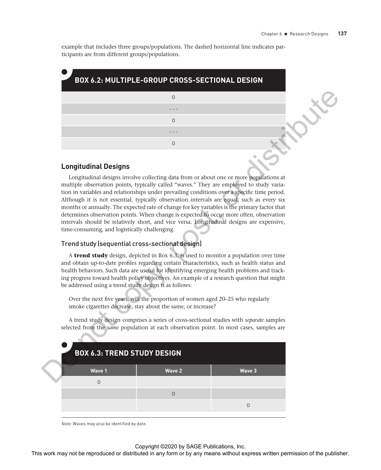example that includes three groups/populations. The dashed horizontal line indicates participants are from different groups/populations.

| BOX 6.2: MULTIPLE-GROUP CROSS-SECTIONAL DESIGN |  |
|------------------------------------------------|--|
|                                                |  |
|                                                |  |
| Ω                                              |  |
|                                                |  |
|                                                |  |

### **Longitudinal Designs**

# Trend study (sequential cross-sectional design)

|                                                        | 0                                                                                                                                                                                                                                                                                                                                                                                                                                                                                                                                                                                                                                                                       |             |  |
|--------------------------------------------------------|-------------------------------------------------------------------------------------------------------------------------------------------------------------------------------------------------------------------------------------------------------------------------------------------------------------------------------------------------------------------------------------------------------------------------------------------------------------------------------------------------------------------------------------------------------------------------------------------------------------------------------------------------------------------------|-------------|--|
|                                                        |                                                                                                                                                                                                                                                                                                                                                                                                                                                                                                                                                                                                                                                                         |             |  |
|                                                        | $\mathsf{O}$                                                                                                                                                                                                                                                                                                                                                                                                                                                                                                                                                                                                                                                            |             |  |
|                                                        | $\mathsf{O}$                                                                                                                                                                                                                                                                                                                                                                                                                                                                                                                                                                                                                                                            |             |  |
|                                                        |                                                                                                                                                                                                                                                                                                                                                                                                                                                                                                                                                                                                                                                                         |             |  |
| <b>Longitudinal Designs</b>                            |                                                                                                                                                                                                                                                                                                                                                                                                                                                                                                                                                                                                                                                                         |             |  |
| time-consuming, and logistically challenging.          | Longitudinal designs involve collecting data from or about one or more populations at<br>multiple observation points, typically called "waves." They are employed to study varia-<br>tion in variables and relationships under prevailing conditions over a specific time period.<br>Although it is not essential, typically observation intervals are equal, such as every six<br>months or annually. The expected rate of change for key variables is the primary factor that<br>determines observation points. When change is expected to occur more often, observation<br>intervals should be relatively short, and vice versa. Longitudinal designs are expensive, |             |  |
|                                                        | Trend study (sequential cross-sectional design)                                                                                                                                                                                                                                                                                                                                                                                                                                                                                                                                                                                                                         |             |  |
| be addressed using a trend study design is as follows: | A trend study design, depicted in Box 6.3, is used to monitor a population over time<br>and obtain up-to-date profiles regarding certain characteristics, such as health status and<br>health behaviors. Such data are useful for identifying emerging health problems and track-<br>ing progress toward health policy objectives. An example of a research question that might                                                                                                                                                                                                                                                                                         |             |  |
|                                                        | Over the next five years, will the proportion of women aged 20-25 who regularly<br>smoke cigarettes decrease, stay about the same, or increase?                                                                                                                                                                                                                                                                                                                                                                                                                                                                                                                         |             |  |
|                                                        | A trend study design comprises a series of cross-sectional studies with separate samples<br>selected from the same population at each observation point. In most cases, samples are                                                                                                                                                                                                                                                                                                                                                                                                                                                                                     |             |  |
| <b>BOX 6.3: TREND STUDY DESIGN</b>                     |                                                                                                                                                                                                                                                                                                                                                                                                                                                                                                                                                                                                                                                                         |             |  |
| Wave 1                                                 | <b>Wave 2</b>                                                                                                                                                                                                                                                                                                                                                                                                                                                                                                                                                                                                                                                           | Wave 3      |  |
| $\overline{0}$                                         |                                                                                                                                                                                                                                                                                                                                                                                                                                                                                                                                                                                                                                                                         |             |  |
|                                                        | $\mathsf{O}$                                                                                                                                                                                                                                                                                                                                                                                                                                                                                                                                                                                                                                                            |             |  |
|                                                        |                                                                                                                                                                                                                                                                                                                                                                                                                                                                                                                                                                                                                                                                         | $\mathsf 0$ |  |
|                                                        |                                                                                                                                                                                                                                                                                                                                                                                                                                                                                                                                                                                                                                                                         |             |  |
| Note: Waves may also be identified by date.            |                                                                                                                                                                                                                                                                                                                                                                                                                                                                                                                                                                                                                                                                         |             |  |
|                                                        | Copyright ©2020 by SAGE Publications, Inc.                                                                                                                                                                                                                                                                                                                                                                                                                                                                                                                                                                                                                              |             |  |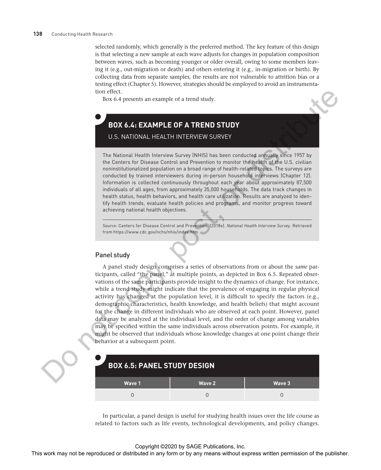selected randomly, which generally is the preferred method. The key feature of this design is that selecting a new sample at each wave adjusts for changes in population composition between waves, such as becoming younger or older overall, owing to some members leaving it (e.g., out-migration or death) and others entering it (e.g., in-migration or birth). By collecting data from separate samples, the results are not vulnerable to attrition bias or a testing effect (Chapter 5). However, strategies should be employed to avoid an instrumentation effect.

Box 6.4 presents an example of a trend study.

# **BOX 6.4: EXAMPLE OF A TREND STUDY** U.S. NATIONAL HEALTH INTERVIEW SURVEY

The National Health Interview Survey (NHIS) has been conducted annually since 1957 by the Centers for Disease Control and Prevention to monitor the health of the U.S. civilian noninstitutionalized population on a broad range of health-related topics. The surveys are conducted by trained interviewers during in-person household interviews (Chapter 12). Information is collected continuously throughout each year about approximately 87,500 individuals of all ages, from approximately 35,000 households. The data track changes in health status, health behaviors, and health care utilization. Results are analyzed to identify health trends, evaluate health policies and programs, and monitor progress toward achieving national health objectives.

*Source:* Centers for Disease Control and Prevention. (2018e). *National Health Interview Survey.* Retrieved from https://www.cdc.gov/nchs/nhis/index.htm

# Panel study

A panel study design comprises a series of observations from or about the *same* participants, called "the panel," at multiple points, as depicted in Box 6.5. Repeated observations of the same participants provide insight to the dynamics of change. For instance, while a trend study might indicate that the prevalence of engaging in regular physical activity has changed at the population level, it is difficult to specify the factors (e.g., demographic characteristics, health knowledge, and health beliefs) that might account for the change in different individuals who are observed at each point. However, panel data may be analyzed at the individual level, and the order of change among variables may be specified within the same individuals across observation points. For example, it might be observed that individuals whose knowledge changes at one point change their behavior at a subsequent point. The state of the repression of the representation of the representation of the reproduced or distributed in any form or by any means with  $\frac{1}{2}$  and the representation of the representation of the representation of the

| <b>BOX 6.5: PANEL STUDY DESIGN</b> |        |        |  |  |  |  |  |
|------------------------------------|--------|--------|--|--|--|--|--|
| Wave 1                             | Wave 2 | Wave 3 |  |  |  |  |  |
|                                    |        |        |  |  |  |  |  |

In particular, a panel design is useful for studying health issues over the life course as related to factors such as life events, technological developments, and policy changes.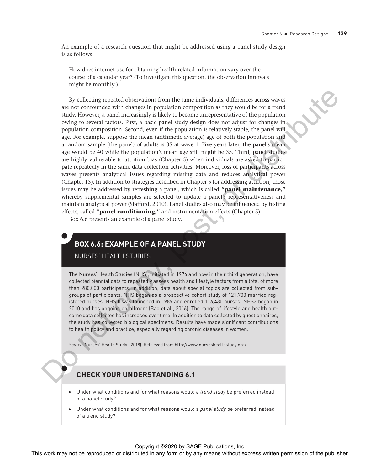An example of a research question that might be addressed using a panel study design is as follows:

How does internet use for obtaining health-related information vary over the course of a calendar year? (To investigate this question, the observation intervals might be monthly.)

By collecting repeated observations from the same individuals, differences across waves are not confounded with changes in population composition as they would be for a trend study. However, a panel increasingly is likely to become unrepresentative of the population owing to several factors. First, a basic panel study design does not adjust for changes in population composition. Second, even if the population is relatively stable, the panel will age. For example, suppose the mean (arithmetic average) age of both the population and a random sample (the panel) of adults is 35 at wave 1. Five years later, the panel's mean age would be 40 while the population's mean age still might be 35. Third, panel studies are highly vulnerable to attrition bias (Chapter 5) when individuals are asked to participate repeatedly in the same data collection activities. Moreover, loss of participants across waves presents analytical issues regarding missing data and reduces analytical power (Chapter 15). In addition to strategies described in Chapter 5 for addressing attrition, those issues may be addressed by refreshing a panel, which is called **"panel maintenance,"** whereby supplemental samples are selected to update a panel's representativeness and maintain analytical power (Stafford, 2010). Panel studies also may be influenced by testing effects, called **"panel conditioning,"** and instrumentation effects (Chapter 5). By collecting teperted or<br>between the range in proposition computed in any produced in any fiver<br>also that a may not be reproduced in a may mean the reproduced in any means when<br>the reproduced in any fiver permitted in a

Box 6.6 presents an example of a panel study.

# **BOX 6.6: EXAMPLE OF A PANEL STUDY**

NURSES' HEALTH STUDIES

The Nurses' Health Studies (NHS), initiated in 1976 and now in their third generation, have collected biennial data to repeatedly assess health and lifestyle factors from a total of more than 280,000 participants. In addition, data about special topics are collected from subgroups of participants. NHS began as a prospective cohort study of 121,700 married registered nurses. NHS II was launched in 1989 and enrolled 116,430 nurses; NHS3 began in 2010 and has ongoing enrollment (Bao et al., 2016). The range of lifestyle and health outcome data collected has increased over time. In addition to data collected by questionnaires, the study has collected biological specimens. Results have made significant contributions to health policy and practice, especially regarding chronic diseases in women.

*Source:* Nurses' Health Study. (2018). Retrieved from http://www.nurseshealthstudy.org/

# **CHECK YOUR UNDERSTANDING 6.1**

- Under what conditions and for what reasons would a *trend study* be preferred instead of a panel study?
- Under what conditions and for what reasons would a *panel study* be preferred instead of a trend study?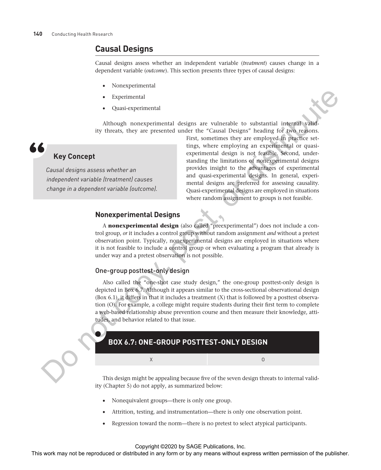# **Causal Designs**

Causal designs assess whether an independent variable (*treatment*) causes change in a dependent variable (*outcome*). This section presents three types of causal designs:

- Nonexperimental
- **Experimental**
- Quasi-experimental

Although nonexperimental designs are vulnerable to substantial internal validity threats, they are presented under the "Causal Designs" heading for two reasons.



# **Key Concept**

*Causal designs assess whether an independent variable (treatment) causes change in a dependent variable (outcome).* First, sometimes they are employed in practice settings, where employing an experimental or quasiexperimental design is not feasible. Second, understanding the limitations of nonexperimental designs provides insight to the advantages of experimental and quasi-experimental designs. In general, experimental designs are preferred for assessing causality. Quasi-experimental designs are employed in situations where random assignment to groups is not feasible.

# **Nonexperimental Designs**

A **nonexperimental design** (also called "preexperimental") does not include a control group, *or* it includes a control group without random assignment *and* without a pretest observation point. Typically, nonexperimental designs are employed in situations where it is not feasible to include a control group or when evaluating a program that already is under way and a pretest observation is not possible.

### One-group posttest-only design

Also called the "one-shot case study design," the one-group posttest-only design is depicted in Box 6.7. Although it appears similar to the cross-sectional observational design (Box 6.1), it differs in that it includes a treatment (X) that is followed by a posttest observation (O). For example, a college might require students during their first term to complete a web-based relationship abuse prevention course and then measure their knowledge, attitudes, and behavior related to that issue. For the representation of the representation of the reproduced or distributed in any with the reproduced or distributed in any means with the results of the results of the results of the publisher. (Apple the results of t

# **BOX 6.7: ONE-GROUP POSTTEST-ONLY DESIGN**

This design might be appealing because five of the seven design threats to internal validity (Chapter 5) do not apply, as summarized below:

- Nonequivalent groups—there is only one group.
- Attrition, testing, and instrumentation—there is only one observation point.
- Regression toward the norm—there is no pretest to select atypical participants.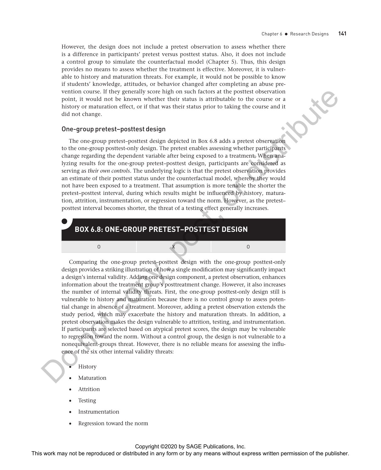However, the design does not include a pretest observation to assess whether there is a difference in participants' pretest versus posttest status. Also, it does not include a control group to simulate the counterfactual model (Chapter 5). Thus, this design provides no means to assess whether the treatment is effective. Moreover, it is vulnerable to history and maturation threats. For example, it would not be possible to know if students' knowledge, attitudes, or behavior changed after completing an abuse prevention course. If they generally score high on such factors at the posttest observation point, it would not be known whether their status is attributable to the course or a history or maturation effect, or if that was their status prior to taking the course and it did not change.

#### One-group pretest–posttest design

The one-group pretest–posttest design depicted in Box 6.8 adds a pretest observation to the one-group posttest-only design. The pretest enables assessing whether participants change regarding the dependent variable after being exposed to a treatment. When analyzing results for the one-group pretest–posttest design, participants are considered as serving as *their own controls*. The underlying logic is that the pretest observation provides an estimate of their posttest status under the counterfactual model, whereby they would not have been exposed to a treatment. That assumption is more tenable the shorter the pretest–posttest interval, during which results might be influenced by history, maturation, attrition, instrumentation, or regression toward the norm. However, as the pretest– posttest interval becomes shorter, the threat of a testing effect generally increases.



Comparing the one-group pretest–posttest design with the one-group posttest-only design provides a striking illustration of how a single modification may significantly impact a design's internal validity. Adding one design component, a pretest observation, enhances information about the treatment group's posttreatment change. However, it also increases the number of internal validity threats. First, the one-group posttest-only design still is vulnerable to history and maturation because there is no control group to assess potential change in absence of a treatment. Moreover, adding a pretest observation extends the study period, which may exacerbate the history and maturation threats. In addition, a pretest observation makes the design vulnerable to attrition, testing, and instrumentation. If participants are selected based on atypical pretest scores, the design may be vulnerable to regression toward the norm. Without a control group, the design is not vulnerable to a nonequivalent-groups threat. However, there is no reliable means for assessing the influence of the six other internal validity threats: We calculate the repression of the repression or distributed or distributed in any form or by any form or by any form or by any form or by any form or by any form or by any properties of the results are the results of t

#### **History**

- **Maturation**
- **Attrition**
- **Testing**
- **Instrumentation**
- Regression toward the norm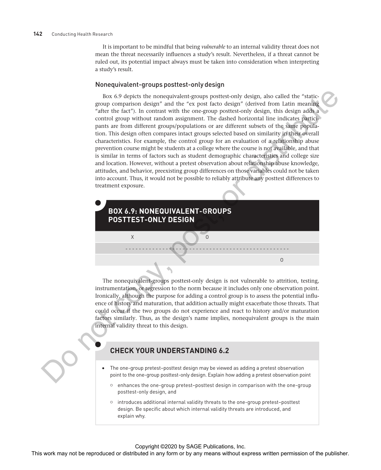#### **142** Conducting Health Research

It is important to be mindful that being *vulnerable* to an internal validity threat does not mean the threat necessarily influences a study's result. Nevertheless, if a threat cannot be ruled out, its potential impact always must be taken into consideration when interpreting a study's result.

#### Nonequivalent-groups posttest-only design

Box 6.9 depicts the nonequivalent-groups posttest-only design, also called the "staticgroup comparison design" and the "ex post facto design" (derived from Latin meaning "after the fact"). In contrast with the one-group posttest-only design, this design adds a control group without random assignment. The dashed horizontal line indicates participants are from different groups/populations or are different subsets of the same population. This design often compares intact groups selected based on similarity in their overall characteristics. For example, the control group for an evaluation of a relationship abuse prevention course might be students at a college where the course is not available, and that is similar in terms of factors such as student demographic characteristics and college size and location. However, without a pretest observation about relationship abuse knowledge, attitudes, and behavior, preexisting group differences on those variables could not be taken into account. Thus, it would not be possible to reliably attribute any posttest differences to treatment exposure. For Coleman and the reproduced or distributed in a method or distributed in any form or by any means with the reproduced or distributed in this distributed in any form or by any means with the reproduced in any form or by



The nonequivalent-groups posttest-only design is not vulnerable to attrition, testing, instrumentation, or regression to the norm because it includes only one observation point. Ironically, although the purpose for adding a control group is to assess the potential influence of history and maturation, that addition actually might exacerbate those threats. That could occur if the two groups do not experience and react to history and/or maturation factors similarly. Thus, as the design's name implies, nonequivalent groups is the main internal validity threat to this design.

# **CHECK YOUR UNDERSTANDING 6.2**

- The one-group pretest–posttest design may be viewed as adding a pretest observation point to the one-group posttest-only design. Explain how adding a pretest observation point
	- $\circ$  enhances the one-group pretest-posttest design in comparison with the one-group posttest-only design, and
	- $\circ$  introduces additional internal validity threats to the one-group pretest-posttest design. Be specific about which internal validity threats are introduced, and explain why.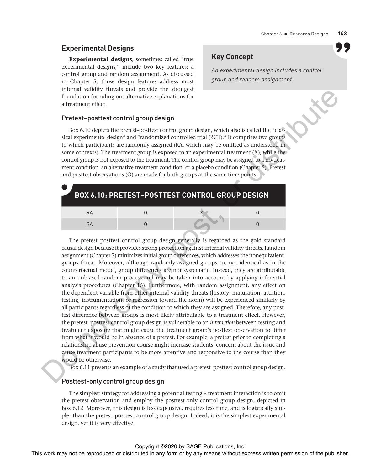# **Experimental Designs**

**Experimental designs**, sometimes called "true experimental designs," include two key features: a control group and random assignment. As discussed in Chapter 5, those design features address most internal validity threats and provide the strongest foundation for ruling out alternative explanations for a treatment effect.

# **Key Concept**

*An experimental design includes a control group and random assignment.*

### Pretest–posttest control group design

Box 6.10 depicts the pretest–posttest control group design, which also is called the "classical experimental design" and "randomized controlled trial (RCT)." It comprises two groups to which participants are randomly assigned (RA, which may be omitted as understood in some contexts). The treatment group is exposed to an experimental treatment  $(X)$ , while the control group is not exposed to the treatment. The control group may be assigned to a no-treatment condition, an alternative-treatment condition, or a placebo condition (Chapter 5). Pretest and posttest observations (O) are made for both groups at the same time points.

|    | <b>BOX 6.10: PRETEST-POSTTEST CONTROL GROUP DESIGN</b> |  |
|----|--------------------------------------------------------|--|
| RA |                                                        |  |
| RΑ |                                                        |  |

The pretest–posttest control group design generally is regarded as the gold standard causal design because it provides strong protection against internal validity threats. Random assignment (Chapter 7) minimizes initial group differences, which addresses the nonequivalentgroups threat. Moreover, although randomly assigned groups are not identical as in the counterfactual model, group differences are not systematic. Instead, they are attributable to an unbiased random process and may be taken into account by applying inferential analysis procedures (Chapter 15). Furthermore, with random assignment, any effect on the dependent variable from other internal validity threats (history, maturation, attrition, testing, instrumentation, or regression toward the norm) will be experienced similarly by all participants regardless of the condition to which they are assigned. Therefore, any posttest difference between groups is most likely attributable to a treatment effect. However, the pretest–posttest control group design is vulnerable to an *interaction* between testing and treatment exposure that might cause the treatment group's posttest observation to differ from what it would be in absence of a pretest. For example, a pretest prior to completing a relationship abuse prevention course might increase students' concern about the issue and cause treatment participants to be more attentive and responsive to the course than they would be otherwise. The mean the representation of the reproduced or distributed in any form or by an any form or by any means with a small distributed in any means when the repression of the publisher. The means were also the company of the

Box 6.11 presents an example of a study that used a pretest–posttest control group design.

#### Posttest-only control group design

The simplest strategy for addressing a potential testing  $\times$  treatment interaction is to omit the pretest observation and employ the posttest-only control group design, depicted in Box 6.12. Moreover, this design is less expensive, requires less time, and is logistically simpler than the pretest–posttest control group design. Indeed, it is the simplest experimental design, yet it is very effective.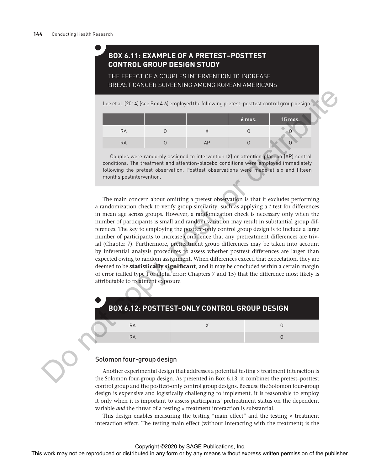# **BOX 6.11: EXAMPLE OF A PRETEST–POSTTEST CONTROL GROUP DESIGN STUDY**

THE EFFECT OF A COUPLES INTERVENTION TO INCREASE BREAST CANCER SCREENING AMONG KOREAN AMERICANS

Lee et al. (2014) (see Box 4.6) employed the following pretest-posttest control group design:

|    |  | 6 mos. | 15 mos. |
|----|--|--------|---------|
| RA |  |        |         |
| RА |  |        |         |

Couples were randomly assigned to intervention (X) or attention-placebo (AP) control conditions. The treatment and attention-placebo conditions were employed immediately following the pretest observation. Posttest observations were made at six and fifteen months postintervention.

The main concern about omitting a pretest observation is that it excludes performing a randomization check to verify group similarity, such as applying a *t* test for differences in mean age across groups. However, a randomization check is necessary only when the number of participants is small and random variation may result in substantial group differences. The key to employing the posttest-only control group design is to include a large number of participants to increase confidence that any pretreatment differences are trivial (Chapter 7). Furthermore, pretreatment group differences may be taken into account by inferential analysis procedures to assess whether posttest differences are larger than expected owing to random assignment. When differences exceed that expectation, they are deemed to be **statistically significant**, and it may be concluded within a certain margin of error (called type I or alpha error; Chapters 7 and 15) that the difference most likely is attributable to treatment exposure. The second or distributed in any means with the representation of the publisher.<br>
This work may not be representation of the second or by any means with the control of the second or distributed in any means were also the

|    | <b>BOX 6.12: POSTTEST-ONLY CONTROL GROUP DESIGN</b> |  |
|----|-----------------------------------------------------|--|
| RA |                                                     |  |
| RΑ |                                                     |  |

### Solomon four-group design

Another experimental design that addresses a potential testing × treatment interaction is the Solomon four-group design. As presented in Box 6.13, it combines the pretest–posttest control group and the posttest-only control group designs. Because the Solomon four-group design is expensive and logistically challenging to implement, it is reasonable to employ it only when it is important to assess participants' pretreatment status on the dependent variable *and* the threat of a testing  $\times$  treatment interaction is substantial.

This design enables measuring the testing "main effect" and the testing  $\times$  treatment interaction effect. The testing main effect (without interacting with the treatment) is the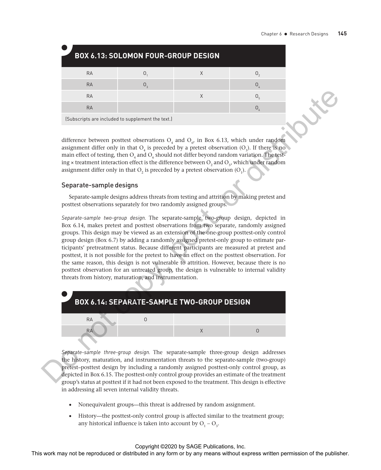|           | <b>BOX 6.13: SOLOMON FOUR-GROUP DESIGN</b>        |   |  |
|-----------|---------------------------------------------------|---|--|
| <b>RA</b> |                                                   |   |  |
| <b>RA</b> |                                                   |   |  |
| <b>RA</b> |                                                   | Χ |  |
| <b>RA</b> |                                                   |   |  |
|           | (Subscripts are included to supplement the text.) |   |  |

difference between posttest observations  $O_4$  and  $O_{6}$ , in Box 6.13, which under random assignment differ only in that  $O_4$  is preceded by a pretest observation  $(O_3)$ . If there is no main effect of testing, then  $O_4$  and  $O_6$  should not differ beyond random variation. The testing  $\times$  treatment interaction effect is the difference between  $O_2$  and  $O_5$ , which under random assignment differ only in that  $O_2$  is preceded by a pretest observation  $(O_1)$ .

### Separate-sample designs

Separate-sample designs address threats from testing and attrition by making pretest and posttest observations separately for two randomly assigned groups.

*Separate-sample two-group design.* The separate-sample two-group design, depicted in Box 6.14, makes pretest and posttest observations from two separate, randomly assigned groups. This design may be viewed as an extension of the one-group posttest-only control group design (Box 6.7) by adding a randomly assigned pretest-only group to estimate participants' pretreatment status. Because different participants are measured at pretest and posttest, it is not possible for the pretest to have an effect on the posttest observation. For the same reason, this design is not vulnerable to attrition. However, because there is no posttest observation for an untreated group, the design is vulnerable to internal validity threats from history, maturation, and instrumentation. The state of the representation of the reproduced or distributed in any form or by an interaction of the reproduced in any means when the results were pressed by a particular by an expression (δ). The means were produced



*Separate-sample three-group design.* The separate-sample three-group design addresses the history, maturation, and instrumentation threats to the separate-sample (two-group) pretest–posttest design by including a randomly assigned posttest-only control group, as depicted in Box 6.15. The posttest-only control group provides an estimate of the treatment group's status at posttest if it had not been exposed to the treatment. This design is effective in addressing all seven internal validity threats.

- Nonequivalent groups—this threat is addressed by random assignment.
- History—the posttest-only control group is affected similar to the treatment group; any historical influence is taken into account by  $O_1 - O_3$ .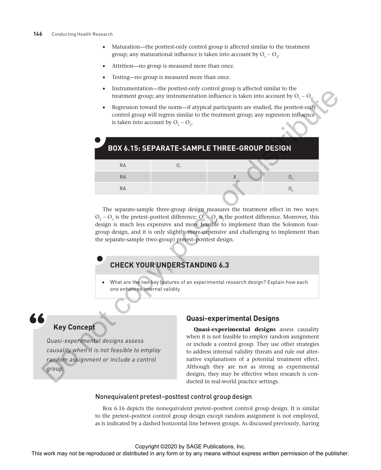- Maturation—the posttest-only control group is affected similar to the treatment group; any maturational influence is taken into account by  $O_1 - O_3$ .
- Attrition—no group is measured more than once.
- Testing—no group is measured more than once.
- Instrumentation—the posttest-only control group is affected similar to the treatment group; any instrumentation influence is taken into account by  $O<sub>1</sub> - O<sub>3</sub>$ .
- Regression toward the norm—if atypical participants are studied, the posttest-only control group will regress similar to the treatment group; any regression influence is taken into account by  $O_1 - O_3$ .

|                                                                                                                                      | mstrumentation—the posttest-only control group is anected similar to the<br>treatment group; any instrumentation influence is taken into account by $O_1 - O_3$ .                                                                                                                                                                                                                                                                     |
|--------------------------------------------------------------------------------------------------------------------------------------|---------------------------------------------------------------------------------------------------------------------------------------------------------------------------------------------------------------------------------------------------------------------------------------------------------------------------------------------------------------------------------------------------------------------------------------|
| $\bullet$<br>is taken into account by $O_1 - O_3$ .                                                                                  | Regression toward the norm-if atypical participants are studied, the posttest-only<br>control group will regress similar to the treatment group; any regression influence                                                                                                                                                                                                                                                             |
|                                                                                                                                      |                                                                                                                                                                                                                                                                                                                                                                                                                                       |
|                                                                                                                                      | <b>BOX 6.15: SEPARATE-SAMPLE THREE-GROUP DESIGN</b>                                                                                                                                                                                                                                                                                                                                                                                   |
| <b>RA</b>                                                                                                                            | O <sub>1</sub>                                                                                                                                                                                                                                                                                                                                                                                                                        |
| <b>RA</b>                                                                                                                            | O <sub>2</sub>                                                                                                                                                                                                                                                                                                                                                                                                                        |
| <b>RA</b>                                                                                                                            | $\mathsf{O}_3$                                                                                                                                                                                                                                                                                                                                                                                                                        |
|                                                                                                                                      | The separate-sample three-group design measures the treatment effect in two ways:                                                                                                                                                                                                                                                                                                                                                     |
| the separate-sample (two-group) pretest-posttest design.                                                                             | $O_2 - O_1$ is the pretest-posttest difference; $O_2 - O_3$ is the posttest difference. Moreover, this<br>design is much less expensive and more feasible to implement than the Solomon four-<br>group design, and it is only slightly more expensive and challenging to implement than                                                                                                                                               |
| <b>CHECK YOUR UNDERSTANDING 6.3</b>                                                                                                  |                                                                                                                                                                                                                                                                                                                                                                                                                                       |
| one enhances internal validity.                                                                                                      | What are the two key features of an experimental research design? Explain how each                                                                                                                                                                                                                                                                                                                                                    |
|                                                                                                                                      |                                                                                                                                                                                                                                                                                                                                                                                                                                       |
| <b>Key Concept</b>                                                                                                                   | <b>Quasi-experimental Designs</b>                                                                                                                                                                                                                                                                                                                                                                                                     |
| Quasi-experimental designs assess<br>causality when it is not feasible to employ<br>random assignment or include a control<br>group. | Quasi-experimental designs assess causality<br>when it is not feasible to employ random assignment<br>or include a control group. They use other strategies<br>to address internal validity threats and rule out alter-<br>native explanations of a potential treatment effect.<br>Although they are not as strong as experimental<br>designs, they may be effective when research is con-<br>ducted in real-world practice settings. |
|                                                                                                                                      | Nonequivalent pretest-posttest control group design                                                                                                                                                                                                                                                                                                                                                                                   |
|                                                                                                                                      | Box 6.16 depicts the nonequivalent pretest-posttest control group design. It is similar<br>to the pretest-posttest control group design except random assignment is not employed,<br>as is indicated by a dashed horizontal line between groups. As discussed previously, having                                                                                                                                                      |
|                                                                                                                                      | Copyright ©2020 by SAGE Publications, Inc.<br>This work may not be reproduced or distributed in any form or by any means without express written permission of the publisher.                                                                                                                                                                                                                                                         |

# **CHECK YOUR UNDERSTANDING 6.3**

# **Key Concept**

### **Quasi-experimental Designs**

#### Nonequivalent pretest–posttest control group design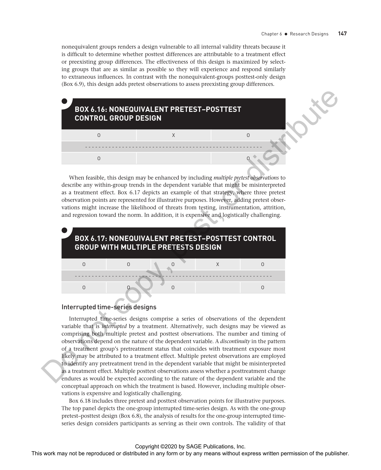nonequivalent groups renders a design vulnerable to all internal validity threats because it is difficult to determine whether posttest differences are attributable to a treatment effect or preexisting group differences. The effectiveness of this design is maximized by selecting groups that are as similar as possible so they will experience and respond similarly to extraneous influences. In contrast with the nonequivalent-groups posttest-only design (Box 6.9), this design adds pretest observations to assess preexisting group differences.



When feasible, this design may be enhanced by including *multiple pretest observations* to describe any within-group trends in the dependent variable that might be misinterpreted as a treatment effect. Box 6.17 depicts an example of that strategy, where three pretest observation points are represented for illustrative purposes. However, adding pretest observations might increase the likelihood of threats from testing, instrumentation, attrition, and regression toward the norm. In addition, it is expensive and logistically challenging.



# Interrupted time-series designs

Interrupted time-series designs comprise a series of observations of the dependent variable that is *interrupted* by a treatment. Alternatively, such designs may be viewed as comprising both multiple pretest and posttest observations. The number and timing of observations depend on the nature of the dependent variable. A *discontinuity* in the pattern of a treatment group's pretreatment status that coincides with treatment exposure most likely may be attributed to a treatment effect. Multiple pretest observations are employed to identify any pretreatment trend in the dependent variable that might be misinterpreted as a treatment effect. Multiple posttest observations assess whether a posttreatment change endures as would be expected according to the nature of the dependent variable and the conceptual approach on which the treatment is based. However, including multiple observations is expensive and logistically challenging.

Box 6.18 includes three pretest and posttest observation points for illustrative purposes. The top panel depicts the one-group interrupted time-series design. As with the one-group pretest–posttest design (Box 6.8), the analysis of results for the one-group interrupted timeseries design considers participants as serving as their own controls. The validity of that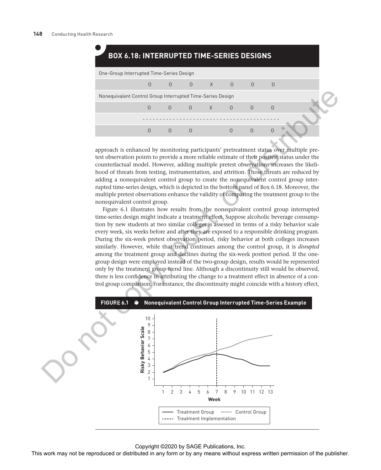# **BOX 6.18: INTERRUPTED TIME-SERIES DESIGNS**

| One-Group Interrupted Time-Series Design                   |          |  |  |  |                                                       |  |  |  |  |
|------------------------------------------------------------|----------|--|--|--|-------------------------------------------------------|--|--|--|--|
|                                                            | $\Omega$ |  |  |  | $\begin{matrix} 0 & 0 & \lambda & 0 & 0 \end{matrix}$ |  |  |  |  |
| Nonequivalent Control Group Interrupted Time-Series Design |          |  |  |  |                                                       |  |  |  |  |
|                                                            |          |  |  |  | $\begin{matrix} 0 & 0 & \lambda & 0 & 0 \end{matrix}$ |  |  |  |  |
|                                                            |          |  |  |  |                                                       |  |  |  |  |
|                                                            |          |  |  |  |                                                       |  |  |  |  |
|                                                            |          |  |  |  |                                                       |  |  |  |  |

approach is enhanced by monitoring participants' pretreatment status over multiple pretest observation points to provide a more reliable estimate of their posttest status under the counterfactual model. However, adding multiple pretest observations increases the likelihood of threats from testing, instrumentation, and attrition. Those threats are reduced by adding a nonequivalent control group to create the nonequivalent control group interrupted time-series design, which is depicted in the bottom panel of Box 6.18. Moreover, the multiple pretest observations enhance the validity of comparing the treatment group to the nonequivalent control group.

Figure 6.1 illustrates how results from the nonequivalent control group interrupted time-series design might indicate a treatment effect. Suppose alcoholic beverage consumption by new students at two similar colleges is assessed in terms of a risky behavior scale every week, six weeks before and after they are exposed to a responsible drinking program. During the six-week pretest observation period, risky behavior at both colleges increases similarly. However, while that trend continues among the control group, it is *disrupted* among the treatment group and declines during the six-week posttest period. If the onegroup design were employed instead of the two-group design, results would be represented only by the treatment group trend line. Although a discontinuity still would be observed, there is less confidence in attributing the change to a treatment effect in absence of a control group comparison. For instance, the discontinuity might coincide with a history effect,

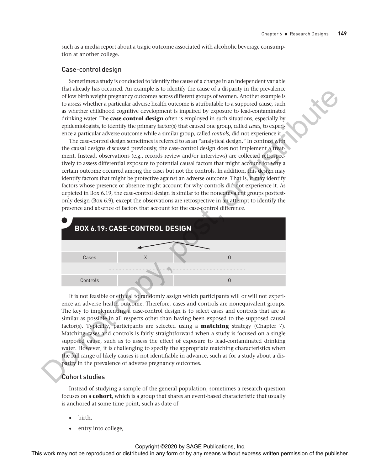such as a media report about a tragic outcome associated with alcoholic beverage consumption at another college.

#### Case-control design

Sometimes a study is conducted to identify the cause of a change in an independent variable that already has occurred. An example is to identify the cause of a disparity in the prevalence of low birth weight pregnancy outcomes across different groups of women. Another example is to assess whether a particular adverse health outcome is attributable to a supposed cause, such as whether childhood cognitive development is impaired by exposure to lead-contaminated drinking water. The **case-control design** often is employed in such situations, especially by epidemiologists, to identify the primary factor(s) that caused one group, called *cases*, to experience a particular adverse outcome while a similar group, called *controls*, did not experience it.

The case-control design sometimes is referred to as an "analytical design." In contrast with the causal designs discussed previously, the case-control design does not implement a treatment. Instead, observations (e.g., records review and/or interviews) are collected retrospectively to assess differential exposure to potential causal factors that might account for why a certain outcome occurred among the cases but not the controls. In addition, this design may identify factors that might be protective against an adverse outcome. That is, it may identify factors whose presence or absence might account for why controls did not experience it. As depicted in Box 6.19, the case-control design is similar to the nonequivalent groups posttestonly design (Box 6.9), except the observations are retrospective in an attempt to identify the presence and absence of factors that account for the case-control difference.



It is not feasible or ethical to randomly assign which participants will or will not experience an adverse health outcome. Therefore, cases and controls are nonequivalent groups. The key to implementing a case-control design is to select cases and controls that are as similar as possible in all respects other than having been exposed to the supposed causal factor(s). Typically, participants are selected using a **matching** strategy (Chapter 7). Matching cases and controls is fairly straightforward when a study is focused on a single supposed cause, such as to assess the effect of exposure to lead-contaminated drinking water. However, it is challenging to specify the appropriate matching characteristics when the full range of likely causes is not identifiable in advance, such as for a study about a disparity in the prevalence of adverse pregnancy outcomes.

#### Cohort studies

Instead of studying a sample of the general population, sometimes a research question focuses on a **cohort**, which is a group that shares an event-based characteristic that usually is anchored at some time point, such as date of

- birth,
- entry into college,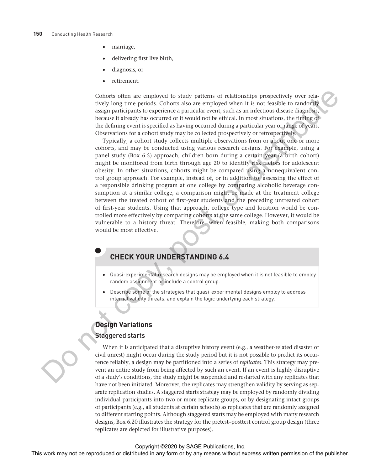- marriage,
- delivering first live birth,
- diagnosis, or
- retirement.

Cohorts often are employed to study patterns of relationships prospectively over relatively long time periods. Cohorts also are employed when it is not feasible to randomly assign participants to experience a particular event, such as an infectious disease diagnosis, because it already has occurred or it would not be ethical. In most situations, the timing of the defining event is specified as having occurred during a particular year or range of years. Observations for a cohort study may be collected prospectively or retrospectively.

Typically, a cohort study collects multiple observations from or about one or more cohorts, and may be conducted using various research designs. For example, using a panel study (Box 6.5) approach, children born during a certain year (a birth cohort) might be monitored from birth through age 20 to identify risk factors for adolescent obesity. In other situations, cohorts might be compared using a nonequivalent control group approach. For example, instead of, or in addition to, assessing the effect of a responsible drinking program at one college by comparing alcoholic beverage consumption at a similar college, a comparison might be made at the treatment college between the treated cohort of first-year students and the preceding untreated cohort of first-year students. Using that approach, college type and location would be controlled more effectively by comparing cohorts at the same college. However, it would be vulnerable to a history threat. Therefore, when feasible, making both comparisons would be most effective. Calculate the multipuole or the repression or distributed in any form or by any permission or by any form or by any means when the publisher in any form or by any means when the publisher. This work is a simulated in any

# **CHECK YOUR UNDERSTANDING 6.4**

- Quasi-experimental research designs may be employed when it is not feasible to employ random assignment or include a control group.
- Describe some of the strategies that quasi-experimental designs employ to address internal validity threats, and explain the logic underlying each strategy.

# **Design Variations**

### Staggered starts

When it is anticipated that a disruptive history event (e.g., a weather-related disaster or civil unrest) might occur during the study period but it is not possible to predict its occurrence reliably, a design may be partitioned into a series of *replicates*. This strategy may prevent an entire study from being affected by such an event. If an event is highly disruptive of a study's conditions, the study might be suspended and restarted with any replicates that have not been initiated. Moreover, the replicates may strengthen validity by serving as separate replication studies. A staggered starts strategy may be employed by randomly dividing individual participants into two or more replicate groups, or by designating intact groups of participants (e.g., all students at certain schools) as replicates that are randomly assigned to different starting points. Although staggered starts may be employed with many research designs, Box 6.20 illustrates the strategy for the pretest–posttest control group design (three replicates are depicted for illustrative purposes).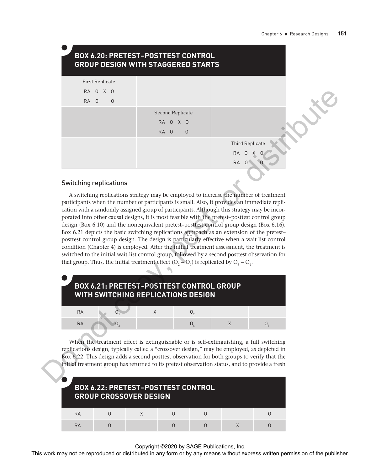|           | <b>First Replicate</b>                                                                                                                                                                                                                                                                                                                                                                                                                                                                 |        |                         |                |                        |                |  |
|-----------|----------------------------------------------------------------------------------------------------------------------------------------------------------------------------------------------------------------------------------------------------------------------------------------------------------------------------------------------------------------------------------------------------------------------------------------------------------------------------------------|--------|-------------------------|----------------|------------------------|----------------|--|
|           | RA O X O                                                                                                                                                                                                                                                                                                                                                                                                                                                                               |        |                         |                |                        |                |  |
| RA 0      | $\mathsf{O}$                                                                                                                                                                                                                                                                                                                                                                                                                                                                           |        |                         |                |                        |                |  |
|           |                                                                                                                                                                                                                                                                                                                                                                                                                                                                                        |        | <b>Second Replicate</b> |                |                        |                |  |
|           |                                                                                                                                                                                                                                                                                                                                                                                                                                                                                        |        | RA O X O                |                |                        |                |  |
|           |                                                                                                                                                                                                                                                                                                                                                                                                                                                                                        | RA 0   | $\mathbf 0$             |                |                        |                |  |
|           |                                                                                                                                                                                                                                                                                                                                                                                                                                                                                        |        |                         |                | <b>Third Replicate</b> |                |  |
|           |                                                                                                                                                                                                                                                                                                                                                                                                                                                                                        |        |                         |                | RA                     |                |  |
|           |                                                                                                                                                                                                                                                                                                                                                                                                                                                                                        |        |                         |                | <b>RA</b>              |                |  |
|           |                                                                                                                                                                                                                                                                                                                                                                                                                                                                                        |        |                         |                |                        |                |  |
|           | <b>Switching replications</b>                                                                                                                                                                                                                                                                                                                                                                                                                                                          |        |                         |                |                        |                |  |
|           | Box 6.21 depicts the basic switching replications approach as an extension of the pretest-<br>posttest control group design. The design is particularly effective when a wait-list control<br>condition (Chapter 4) is employed. After the initial treatment assessment, the treatment is<br>switched to the initial wait-list control group, followed by a second posttest observation for<br>that group. Thus, the initial treatment effect $(O_2-O_1)$ is replicated by $O_5-O_4$ . |        |                         |                |                        |                |  |
|           | BOX 6.21: PRETEST-POSTTEST CONTROL GROUP<br><b>WITH SWITCHING REPLICATIONS DESIGN</b>                                                                                                                                                                                                                                                                                                                                                                                                  |        |                         |                |                        |                |  |
| RA        |                                                                                                                                                                                                                                                                                                                                                                                                                                                                                        | X      |                         | 0 <sub>2</sub> |                        |                |  |
| RA        |                                                                                                                                                                                                                                                                                                                                                                                                                                                                                        |        |                         | $\mathsf{O}_4$ | Χ                      | $\mathsf{O}_5$ |  |
|           | When the treatment effect is extinguishable or is self-extinguishing, a full switching<br>replications design, typically called a "crossover design," may be employed, as depicted in<br>Box 6.22. This design adds a second posttest observation for both groups to verify that the<br>initial treatment group has returned to its pretest observation status, and to provide a fresh<br><b>BOX 6.22: PRETEST-POSTTEST CONTROL</b><br><b>GROUP CROSSOVER DESIGN</b>                   |        |                         |                |                        |                |  |
| <b>RA</b> | $\mathsf{O}$                                                                                                                                                                                                                                                                                                                                                                                                                                                                           | $\chi$ | $\mathsf{O}$            | $\mathsf 0$    |                        | 0              |  |

### Switching replications

| <b>BOX 6.21: PRETEST-POSTTEST CONTROL GROUP</b><br><b>WITH SWITCHING REPLICATIONS DESIGN</b> |  |  |  |  |  |  |  |  |  |
|----------------------------------------------------------------------------------------------|--|--|--|--|--|--|--|--|--|
| RA                                                                                           |  |  |  |  |  |  |  |  |  |
| RA                                                                                           |  |  |  |  |  |  |  |  |  |

|    | <b>BOX 6.22: PRETEST-POSTTEST CONTROL</b><br><b>GROUP CROSSOVER DESIGN</b> |  |  |
|----|----------------------------------------------------------------------------|--|--|
| RA |                                                                            |  |  |
| RA |                                                                            |  |  |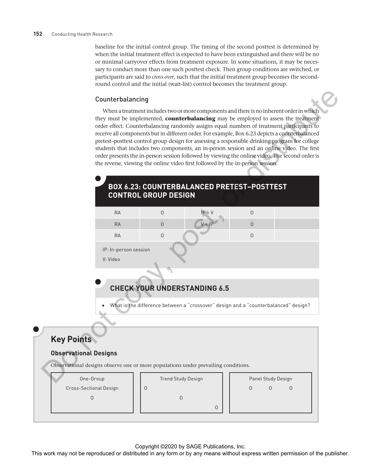#### **152** Conducting Health Research

baseline for the initial control group. The timing of the second posttest is determined by when the initial treatment effect is expected to have been extinguished and there will be no or minimal carryover effects from treatment exposure. In some situations, it may be necessary to conduct more than one such posttest check. Then group conditions are switched, or participants are said to *cross over*, such that the initial treatment group becomes the secondround control and the initial (wait-list) control becomes the treatment group.

#### Counterbalancing

When a treatment includes two or more components and there is no inherent order in which they must be implemented, **counterbalancing** may be employed to assess the treatment order effect. Counterbalancing randomly assigns equal numbers of treatment participants to receive all components but in different order. For example, Box 6.23 depicts a counterbalanced pretest–posttest control group design for assessing a responsible drinking program for college students that includes two components, an in-person session and an online video. The first order presents the in-person session followed by viewing the online video. The second order is the reverse, viewing the online video first followed by the in-person session. Counterbalancing<br>
vaca max to tax metriculate control enter the animals any be reproduced or the resulting<br>
they may be interesting terms without any poster and the publisher.<br>
The representation of the publisher or by an

# **BOX 6.23: COUNTERBALANCED PRETEST–POSTTEST CONTROL GROUP DESIGN**

| <b>RA</b>             | $IP + V$ |  |
|-----------------------|----------|--|
| <b>RA</b>             | $V + IP$ |  |
| <b>RA</b>             |          |  |
| IP: In-person session |          |  |
| V: Video              |          |  |

# **CHECK YOUR UNDERSTANDING 6.5**

• What is the difference between a "crossover" design and a "counterbalanced" design?

# **Key Points**

### **Observational Designs**

Observational designs observe one or more populations under prevailing conditions.

O

| One-Group              |
|------------------------|
| Cross-Sectional Design |
| $\Box$                 |

#### Trend Study Design

|  |  | Trend Study Design |
|--|--|--------------------|
|--|--|--------------------|

O **Only the Contract of the Contract of Contract of the Contract of Contract of Contract of Contract of Contract** 

|  |  | Il chu Juuy Design |  |
|--|--|--------------------|--|
|  |  |                    |  |
|  |  |                    |  |

|   | Panel Study Design |   |  |
|---|--------------------|---|--|
| ∩ | U                  | ∩ |  |
|   |                    |   |  |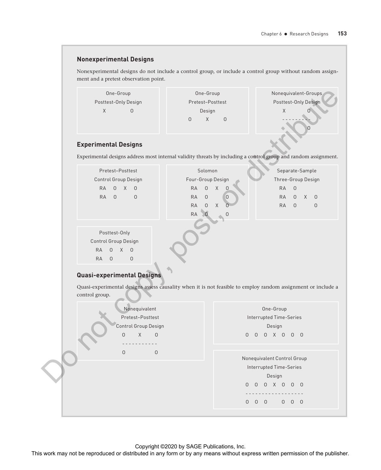### **Nonexperimental Designs**

Nonexperimental designs do not include a control group, or include a control group without random assignment and a pretest observation point.



#### **Experimental Designs**

| Pretest-Posttest<br>Control Group Design<br><b>RA</b><br>$\mathbf{0}$<br>$\times$<br>$\overline{0}$<br><b>RA</b><br>$\overline{0}$<br>$\Omega$ | Solomon<br>Separate-Sample<br>Three-Group Design<br>Four-Group Design<br><b>RA</b><br>$\times$<br><b>RA</b><br>$\Omega$<br>$\mathbf 0$<br>$\Omega$<br>$\Omega$<br><b>RA</b><br>$\overline{0}$<br><b>RA</b><br>$\times$<br>$\Omega$<br>$\Omega$<br>$\times$<br><b>RA</b><br>$\Omega$<br><b>RA</b><br>$\Omega$<br>$\Omega$<br><b>RA</b> |  |
|------------------------------------------------------------------------------------------------------------------------------------------------|---------------------------------------------------------------------------------------------------------------------------------------------------------------------------------------------------------------------------------------------------------------------------------------------------------------------------------------|--|
| Posttest-Only<br>Control Group Design<br><b>RA</b><br>$\Omega$<br>$\times$<br>$\Omega$<br><b>RA</b><br>$\mathbf 0$<br>$\circ$                  |                                                                                                                                                                                                                                                                                                                                       |  |

### **Quasi-experimental Designs**

| One-Group                   |                                                                                                                 |                      | One-Group                     |                |                |                                                      |           |                     |                 | Nonequivalent-Groups |
|-----------------------------|-----------------------------------------------------------------------------------------------------------------|----------------------|-------------------------------|----------------|----------------|------------------------------------------------------|-----------|---------------------|-----------------|----------------------|
|                             | Posttest-Only Design                                                                                            |                      | Pretest-Posttest              |                |                |                                                      |           |                     |                 | Posttest-Only Design |
| X                           | $\mathsf{O}$                                                                                                    |                      | Design                        |                |                |                                                      | X         |                     |                 |                      |
|                             |                                                                                                                 | $\mathsf O$          | X<br>$\mathsf{O}$             |                |                |                                                      |           |                     |                 |                      |
| <b>Experimental Designs</b> |                                                                                                                 |                      |                               |                |                |                                                      |           |                     |                 |                      |
|                             | Experimental designs address most internal validity threats by including a control group and random assignment. |                      |                               |                |                |                                                      |           |                     |                 |                      |
|                             | Pretest-Posttest                                                                                                |                      | Solomon                       |                |                |                                                      |           |                     | Separate-Sample |                      |
|                             | Control Group Design                                                                                            |                      | Four-Group Design             |                |                |                                                      |           |                     |                 | Three-Group Design   |
| <b>RA</b><br>0              | X<br>$\circ$                                                                                                    | 0<br><b>RA</b>       | $\mathsf X$<br>$\overline{0}$ |                |                |                                                      | <b>RA</b> | $\mathsf{O}\xspace$ |                 |                      |
| RA<br>$\mathsf O$           | $\mathsf{O}$                                                                                                    | RA<br>$\mathsf O$    | $\circ$                       |                |                |                                                      | <b>RA</b> | 0                   |                 | $X$ 0                |
|                             |                                                                                                                 | RA<br>$\mathsf O$    | $\mathsf X$<br>$\overline{O}$ |                |                |                                                      | <b>RA</b> | $\circ$             |                 | $\mathsf O$          |
|                             |                                                                                                                 | RA<br>$\overline{0}$ | $\mathbf 0$                   |                |                |                                                      |           |                     |                 |                      |
|                             |                                                                                                                 |                      |                               |                |                |                                                      |           |                     |                 |                      |
|                             |                                                                                                                 |                      |                               |                |                |                                                      |           |                     |                 |                      |
| Posttest-Only               |                                                                                                                 |                      |                               |                |                |                                                      |           |                     |                 |                      |
| Control Group Design        |                                                                                                                 |                      |                               |                |                |                                                      |           |                     |                 |                      |
| <b>RA</b><br>$\mathbf{0}$   | $\chi$<br>$\circ$                                                                                               |                      |                               |                |                |                                                      |           |                     |                 |                      |
| RA<br>$\circ$               | $\mathsf O$<br>Quasi-experimental Designs                                                                       |                      |                               |                |                |                                                      |           |                     |                 |                      |
| control group.              | Quasi-experimental designs assess causality when it is not feasible to employ random assignment or include a    |                      |                               |                |                |                                                      |           |                     |                 |                      |
|                             | Nonequivalent                                                                                                   |                      |                               |                |                | One-Group                                            |           |                     |                 |                      |
|                             | Pretest-Posttest                                                                                                |                      |                               |                |                | Interrupted Time-Series                              |           |                     |                 |                      |
|                             | Control Group Design                                                                                            |                      |                               |                |                | Design                                               |           |                     |                 |                      |
|                             | X<br>$\mathsf{O}$<br>$\mathsf O$                                                                                |                      |                               | $\overline{0}$ | $\overline{0}$ | 0 X 0 0 0                                            |           |                     |                 |                      |
|                             |                                                                                                                 |                      |                               |                |                |                                                      |           |                     |                 |                      |
|                             | $\mathsf{O}$<br>$\mathsf O$                                                                                     |                      |                               |                |                | Nonequivalent Control Group                          |           |                     |                 |                      |
|                             |                                                                                                                 |                      |                               |                |                | Interrupted Time-Series                              |           |                     |                 |                      |
|                             |                                                                                                                 |                      |                               |                |                | Design                                               |           |                     |                 |                      |
|                             |                                                                                                                 |                      |                               |                |                | 0 0 0 X 0 0 0                                        |           |                     |                 |                      |
|                             |                                                                                                                 |                      |                               |                |                | ---------<br>$0\quad 0\quad 0\qquad 0\quad 0\quad 0$ |           |                     |                 |                      |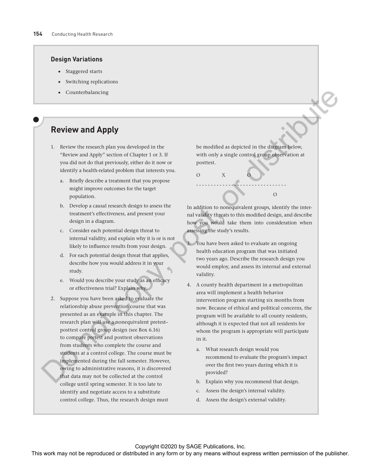#### **Design Variations**

- Staggered starts
- Switching replications
- **Counterbalancing**

# **Review and Apply**

- 1. Review the research plan you developed in the "Review and Apply" section of Chapter 1 or 3. If you did not do that previously, either do it now or identify a health-related problem that interests you.
	- a. Briefly describe a treatment that you propose might improve outcomes for the target population.
	- b. Develop a causal research design to assess the treatment's effectiveness, and present your design in a diagram.
	- c. Consider each potential design threat to internal validity, and explain why it is or is not likely to influence results from your design.
	- d. For each potential design threat that applies, describe how you would address it in your study.
	- e. Would you describe your study as an efficacy or effectiveness trial? Explain why.
- 2. Suppose you have been asked to evaluate the relationship abuse prevention course that was presented as an example in this chapter. The research plan will use a nonequivalent pretest– posttest control group design (see Box 6.16) to compare pretest and posttest observations from students who complete the course and students at a control college. The course must be implemented during the fall semester. However, owing to administrative reasons, it is discovered that data may not be collected at the control college until spring semester. It is too late to identify and negotiate access to a substitute control college. Thus, the research design must **Constitution Constitution** Constitution  $\theta$  The results of the reproduced in the distribution or the reproduced in any form or by any form or by any form or by any means with  $\theta$  the results of the publisher. This was

be modified as depicted in the diagram below, with only a single control group observation at posttest.

O X O

In addition to nonequivalent groups, identify the internal validity threats to this modified design, and describe how you would take them into consideration when assessing the study's results.

- - - - - - - - - - - - - - - - - - - - - - - - - - - - - - - **O** and the contract of the contract of the contract of the contract of the contract of the contract of the contract of the contract of the contract of the contract of the contract of the contract of the contract of the co

- 3. You have been asked to evaluate an ongoing health education program that was initiated two years ago. Describe the research design you would employ, and assess its internal and external validity.
- 4. A county health department in a metropolitan area will implement a health behavior intervention program starting six months from now. Because of ethical and political concerns, the program will be available to all county residents, although it is expected that not all residents for whom the program is appropriate will participate in it.
	- a. What research design would you recommend to evaluate the program's impact over the first two years during which it is provided?
	- b. Explain why you recommend that design.
	- c. Assess the design's internal validity.
	- d. Assess the design's external validity.